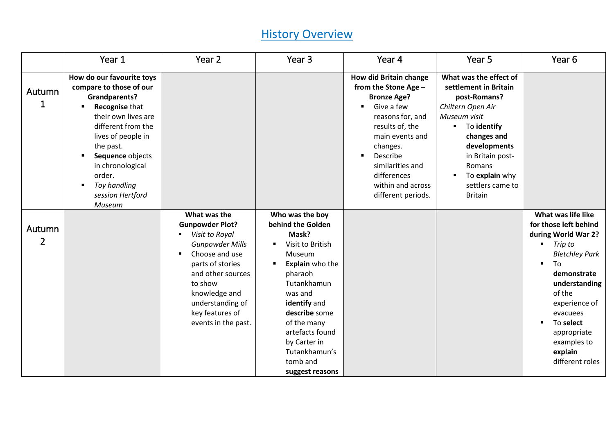|                          | Year 1                                                                                                                                                                                                                                                                                   | Year <sub>2</sub>                                                                                                                                                                                                                                         | Year <sub>3</sub>                                                                                                                                                                                                                                                                                                 | Year 4                                                                                                                                                                                                                                                    | Year 5                                                                                                                                                                                                                                             | Year <sub>6</sub>                                                                                                                                                                                                                                                                                     |
|--------------------------|------------------------------------------------------------------------------------------------------------------------------------------------------------------------------------------------------------------------------------------------------------------------------------------|-----------------------------------------------------------------------------------------------------------------------------------------------------------------------------------------------------------------------------------------------------------|-------------------------------------------------------------------------------------------------------------------------------------------------------------------------------------------------------------------------------------------------------------------------------------------------------------------|-----------------------------------------------------------------------------------------------------------------------------------------------------------------------------------------------------------------------------------------------------------|----------------------------------------------------------------------------------------------------------------------------------------------------------------------------------------------------------------------------------------------------|-------------------------------------------------------------------------------------------------------------------------------------------------------------------------------------------------------------------------------------------------------------------------------------------------------|
| Autumn<br>$\mathbf 1$    | How do our favourite toys<br>compare to those of our<br><b>Grandparents?</b><br>Recognise that<br>their own lives are<br>different from the<br>lives of people in<br>the past.<br>Sequence objects<br>٠<br>in chronological<br>order.<br>Toy handling<br>٠<br>session Hertford<br>Museum |                                                                                                                                                                                                                                                           |                                                                                                                                                                                                                                                                                                                   | <b>How did Britain change</b><br>from the Stone Age -<br><b>Bronze Age?</b><br>Give a few<br>reasons for, and<br>results of, the<br>main events and<br>changes.<br>Describe<br>similarities and<br>differences<br>within and across<br>different periods. | What was the effect of<br>settlement in Britain<br>post-Romans?<br>Chiltern Open Air<br>Museum visit<br>To identify<br>٠<br>changes and<br>developments<br>in Britain post-<br>Romans<br>To explain why<br>٠<br>settlers came to<br><b>Britain</b> |                                                                                                                                                                                                                                                                                                       |
| Autumn<br>$\overline{2}$ |                                                                                                                                                                                                                                                                                          | What was the<br><b>Gunpowder Plot?</b><br>Visit to Royal<br><b>Gunpowder Mills</b><br>Choose and use<br>$\blacksquare$<br>parts of stories<br>and other sources<br>to show<br>knowledge and<br>understanding of<br>key features of<br>events in the past. | Who was the boy<br>behind the Golden<br>Mask?<br>Visit to British<br>$\blacksquare$<br>Museum<br><b>Explain</b> who the<br>$\blacksquare$<br>pharaoh<br>Tutankhamun<br>was and<br>identify and<br>describe some<br>of the many<br>artefacts found<br>by Carter in<br>Tutankhamun's<br>tomb and<br>suggest reasons |                                                                                                                                                                                                                                                           |                                                                                                                                                                                                                                                    | What was life like<br>for those left behind<br>during World War 2?<br>Trip to<br>٠<br><b>Bletchley Park</b><br>To<br>$\blacksquare$<br>demonstrate<br>understanding<br>of the<br>experience of<br>evacuees<br>To select<br>$\blacksquare$<br>appropriate<br>examples to<br>explain<br>different roles |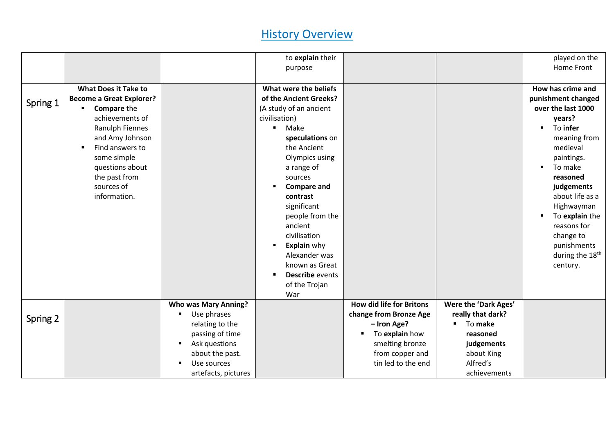|          |                                                                                                                                                                                                                                                   |                                                                                                                                                                                   | to explain their<br>purpose                                                                                                                                                                                                                                                                                                                                                                                                                                |                                                                                                                                                        |                                                                                                                          | played on the<br>Home Front                                                                                                                                                                                                                                                                                                        |
|----------|---------------------------------------------------------------------------------------------------------------------------------------------------------------------------------------------------------------------------------------------------|-----------------------------------------------------------------------------------------------------------------------------------------------------------------------------------|------------------------------------------------------------------------------------------------------------------------------------------------------------------------------------------------------------------------------------------------------------------------------------------------------------------------------------------------------------------------------------------------------------------------------------------------------------|--------------------------------------------------------------------------------------------------------------------------------------------------------|--------------------------------------------------------------------------------------------------------------------------|------------------------------------------------------------------------------------------------------------------------------------------------------------------------------------------------------------------------------------------------------------------------------------------------------------------------------------|
| Spring 1 | <b>What Does it Take to</b><br><b>Become a Great Explorer?</b><br><b>Compare the</b><br>achievements of<br>Ranulph Fiennes<br>and Amy Johnson<br>Find answers to<br>some simple<br>questions about<br>the past from<br>sources of<br>information. |                                                                                                                                                                                   | What were the beliefs<br>of the Ancient Greeks?<br>(A study of an ancient<br>civilisation)<br>Make<br>$\blacksquare$<br>speculations on<br>the Ancient<br>Olympics using<br>a range of<br>sources<br><b>Compare and</b><br>$\blacksquare$<br>contrast<br>significant<br>people from the<br>ancient<br>civilisation<br><b>Explain why</b><br>$\blacksquare$<br>Alexander was<br>known as Great<br>Describe events<br>$\blacksquare$<br>of the Trojan<br>War |                                                                                                                                                        |                                                                                                                          | How has crime and<br>punishment changed<br>over the last 1000<br>years?<br>To infer<br>٠<br>meaning from<br>medieval<br>paintings.<br>To make<br>$\blacksquare$<br>reasoned<br>judgements<br>about life as a<br>Highwayman<br>To explain the<br>reasons for<br>change to<br>punishments<br>during the 18 <sup>th</sup><br>century. |
| Spring 2 |                                                                                                                                                                                                                                                   | <b>Who was Mary Anning?</b><br>Use phrases<br>٠<br>relating to the<br>passing of time<br>Ask questions<br>$\blacksquare$<br>about the past.<br>Use sources<br>artefacts, pictures |                                                                                                                                                                                                                                                                                                                                                                                                                                                            | <b>How did life for Britons</b><br>change from Bronze Age<br>- Iron Age?<br>To explain how<br>smelting bronze<br>from copper and<br>tin led to the end | Were the 'Dark Ages'<br>really that dark?<br>To make<br>reasoned<br>judgements<br>about King<br>Alfred's<br>achievements |                                                                                                                                                                                                                                                                                                                                    |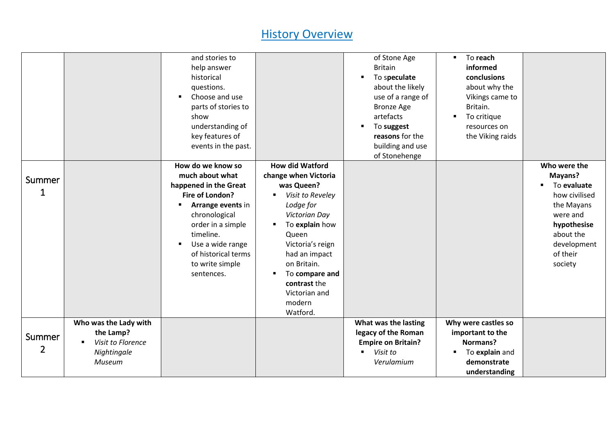|                          |                                                                                         | and stories to<br>help answer<br>historical<br>questions.<br>Choose and use<br>$\blacksquare$<br>parts of stories to<br>show<br>understanding of<br>key features of<br>events in the past.<br>How do we know so<br>much about what | <b>How did Watford</b><br>change when Victoria                                                                                                                                                                                        | of Stone Age<br><b>Britain</b><br>To speculate<br>about the likely<br>use of a range of<br><b>Bronze Age</b><br>artefacts<br>To suggest<br>reasons for the<br>building and use<br>of Stonehenge | To reach<br>$\blacksquare$<br>informed<br>conclusions<br>about why the<br>Vikings came to<br>Britain.<br>To critique<br>٠<br>resources on<br>the Viking raids | Who were the<br>Mayans?                                                                                                                    |
|--------------------------|-----------------------------------------------------------------------------------------|------------------------------------------------------------------------------------------------------------------------------------------------------------------------------------------------------------------------------------|---------------------------------------------------------------------------------------------------------------------------------------------------------------------------------------------------------------------------------------|-------------------------------------------------------------------------------------------------------------------------------------------------------------------------------------------------|---------------------------------------------------------------------------------------------------------------------------------------------------------------|--------------------------------------------------------------------------------------------------------------------------------------------|
| Summer<br>1              |                                                                                         | happened in the Great<br>Fire of London?<br>Arrange events in<br>chronological<br>order in a simple<br>timeline.<br>Use a wide range<br>$\blacksquare$<br>of historical terms<br>to write simple<br>sentences.                     | was Queen?<br>Visit to Reveley<br>Lodge for<br><b>Victorian Day</b><br>To explain how<br>٠<br>Queen<br>Victoria's reign<br>had an impact<br>on Britain.<br>To compare and<br>٠<br>contrast the<br>Victorian and<br>modern<br>Watford. |                                                                                                                                                                                                 |                                                                                                                                                               | To evaluate<br>$\blacksquare$<br>how civilised<br>the Mayans<br>were and<br>hypothesise<br>about the<br>development<br>of their<br>society |
| Summer<br>$\overline{2}$ | Who was the Lady with<br>the Lamp?<br>Visit to Florence<br>Nightingale<br><b>Museum</b> |                                                                                                                                                                                                                                    |                                                                                                                                                                                                                                       | What was the lasting<br>legacy of the Roman<br><b>Empire on Britain?</b><br>Visit to<br>Verulamium                                                                                              | Why were castles so<br>important to the<br>Normans?<br>To explain and<br>٠<br>demonstrate<br>understanding                                                    |                                                                                                                                            |